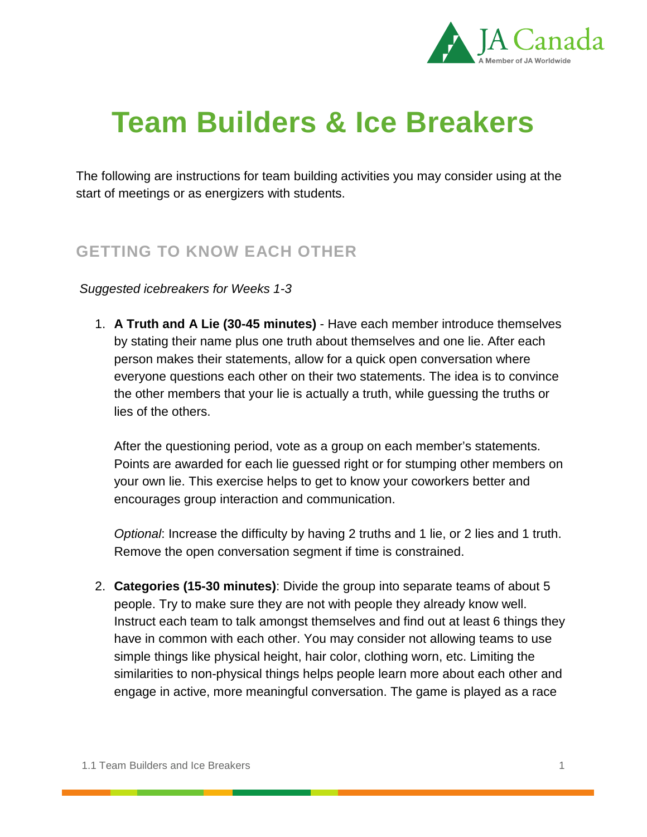

# **Team Builders & Ice Breakers**

The following are instructions for team building activities you may consider using at the start of meetings or as energizers with students.

## **GETTING TO KNOW EACH OTHER**

#### *Suggested icebreakers for Weeks 1-3*

1. **A Truth and A Lie (30-45 minutes)** - Have each member introduce themselves by stating their name plus one truth about themselves and one lie. After each person makes their statements, allow for a quick open conversation where everyone questions each other on their two statements. The idea is to convince the other members that your lie is actually a truth, while guessing the truths or lies of the others.

After the questioning period, vote as a group on each member's statements. Points are awarded for each lie guessed right or for stumping other members on your own lie. This exercise helps to get to know your coworkers better and encourages group interaction and communication.

*Optional*: Increase the difficulty by having 2 truths and 1 lie, or 2 lies and 1 truth. Remove the open conversation segment if time is constrained.

2. **Categories (15-30 minutes)**: Divide the group into separate teams of about 5 people. Try to make sure they are not with people they already know well. Instruct each team to talk amongst themselves and find out at least 6 things they have in common with each other. You may consider not allowing teams to use simple things like physical height, hair color, clothing worn, etc. Limiting the similarities to non-physical things helps people learn more about each other and engage in active, more meaningful conversation. The game is played as a race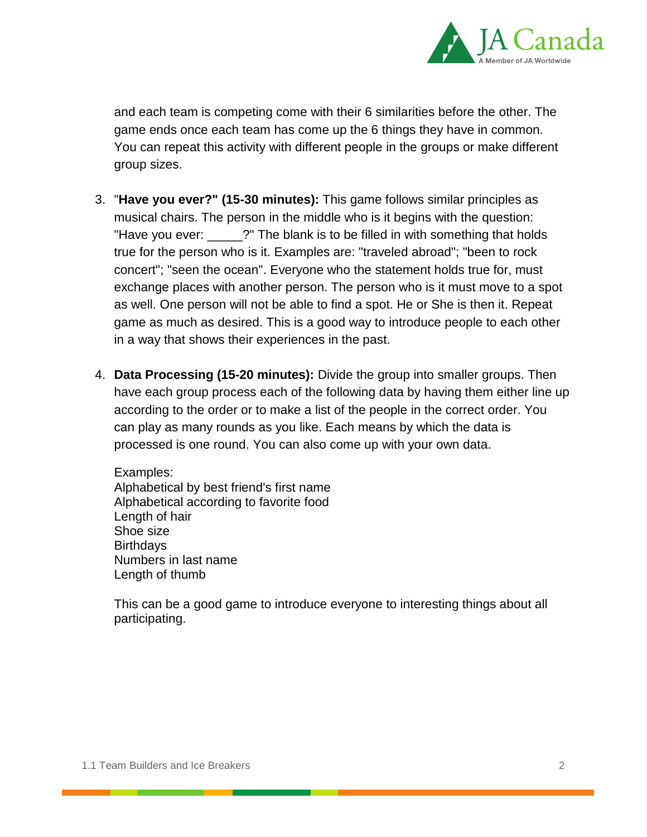

and each team is competing come with their 6 similarities before the other. The game ends once each team has come up the 6 things they have in common. You can repeat this activity with different people in the groups or make different group sizes.

- 3. "**Have you ever?" (15-30 minutes):** This game follows similar principles as musical chairs. The person in the middle who is it begins with the question: "Have you ever: \_\_\_\_\_?" The blank is to be filled in with something that holds true for the person who is it. Examples are: "traveled abroad"; "been to rock concert"; "seen the ocean". Everyone who the statement holds true for, must exchange places with another person. The person who is it must move to a spot as well. One person will not be able to find a spot. He or She is then it. Repeat game as much as desired. This is a good way to introduce people to each other in a way that shows their experiences in the past.
- 4. **Data Processing (15-20 minutes):** Divide the group into smaller groups. Then have each group process each of the following data by having them either line up according to the order or to make a list of the people in the correct order. You can play as many rounds as you like. Each means by which the data is processed is one round. You can also come up with your own data.

Examples: Alphabetical by best friend's first name Alphabetical according to favorite food Length of hair Shoe size **Birthdays** Numbers in last name Length of thumb

This can be a good game to introduce everyone to interesting things about all participating.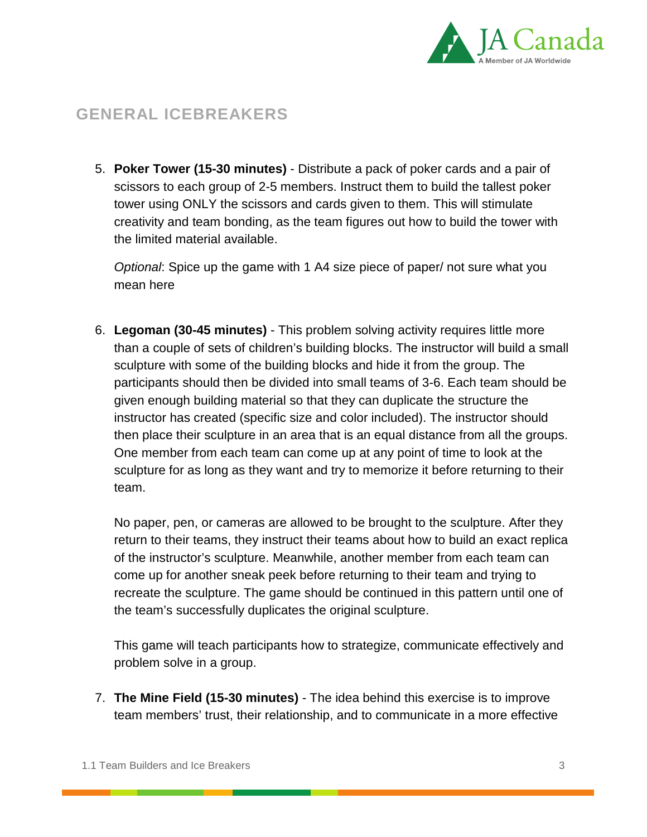

# **GENERAL ICEBREAKERS**

5. **Poker Tower (15-30 minutes)** - Distribute a pack of poker cards and a pair of scissors to each group of 2-5 members. Instruct them to build the tallest poker tower using ONLY the scissors and cards given to them. This will stimulate creativity and team bonding, as the team figures out how to build the tower with the limited material available.

*Optional*: Spice up the game with 1 A4 size piece of paper/ not sure what you mean here

6. **Legoman (30-45 minutes)** - This problem solving activity requires little more than a couple of sets of children's building blocks. The instructor will build a small sculpture with some of the building blocks and hide it from the group. The participants should then be divided into small teams of 3-6. Each team should be given enough building material so that they can duplicate the structure the instructor has created (specific size and color included). The instructor should then place their sculpture in an area that is an equal distance from all the groups. One member from each team can come up at any point of time to look at the sculpture for as long as they want and try to memorize it before returning to their team.

No paper, pen, or cameras are allowed to be brought to the sculpture. After they return to their teams, they instruct their teams about how to build an exact replica of the instructor's sculpture. Meanwhile, another member from each team can come up for another sneak peek before returning to their team and trying to recreate the sculpture. The game should be continued in this pattern until one of the team's successfully duplicates the original sculpture.

This game will teach participants how to strategize, communicate effectively and problem solve in a group.

7. **The Mine Field (15-30 minutes)** - The idea behind this exercise is to improve team members' trust, their relationship, and to communicate in a more effective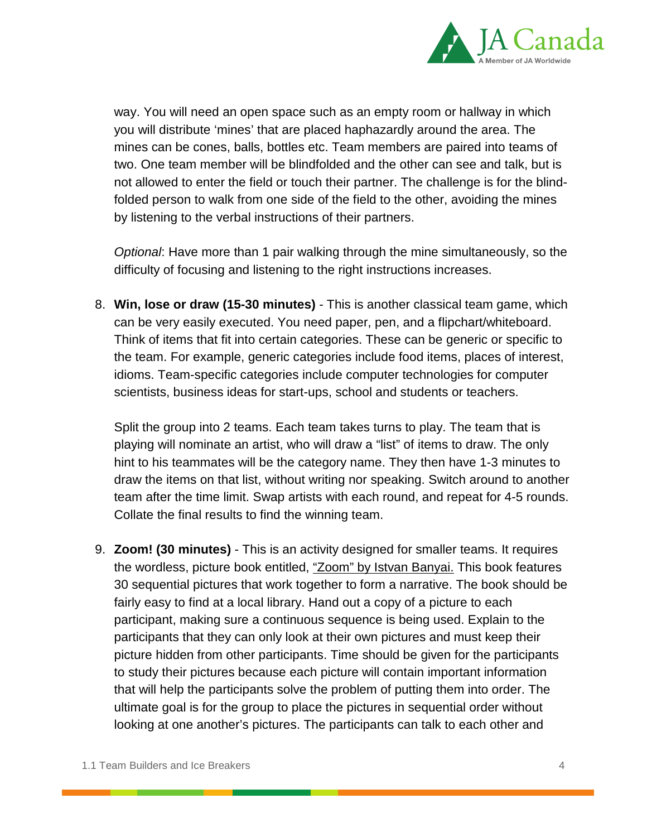

way. You will need an open space such as an empty room or hallway in which you will distribute 'mines' that are placed haphazardly around the area. The mines can be cones, balls, bottles etc. Team members are paired into teams of two. One team member will be blindfolded and the other can see and talk, but is not allowed to enter the field or touch their partner. The challenge is for the blindfolded person to walk from one side of the field to the other, avoiding the mines by listening to the verbal instructions of their partners.

*Optional*: Have more than 1 pair walking through the mine simultaneously, so the difficulty of focusing and listening to the right instructions increases.

8. **Win, lose or draw (15-30 minutes)** - This is another classical team game, which can be very easily executed. You need paper, pen, and a flipchart/whiteboard. Think of items that fit into certain categories. These can be generic or specific to the team. For example, generic categories include food items, places of interest, idioms. Team-specific categories include computer technologies for computer scientists, business ideas for start-ups, school and students or teachers.

Split the group into 2 teams. Each team takes turns to play. The team that is playing will nominate an artist, who will draw a "list" of items to draw. The only hint to his teammates will be the category name. They then have 1-3 minutes to draw the items on that list, without writing nor speaking. Switch around to another team after the time limit. Swap artists with each round, and repeat for 4-5 rounds. Collate the final results to find the winning team.

9. **Zoom! (30 minutes)** - This is an activity designed for smaller teams. It requires the wordless, picture book entitled, ["Zoom" by Istvan Banyai.](http://www.amazon.ca/Zoom-Istvan-Banyai/dp/0140557741) This book features 30 sequential pictures that work together to form a narrative. The book should be fairly easy to find at a local library. Hand out a copy of a picture to each participant, making sure a continuous sequence is being used. Explain to the participants that they can only look at their own pictures and must keep their picture hidden from other participants. Time should be given for the participants to study their pictures because each picture will contain important information that will help the participants solve the problem of putting them into order. The ultimate goal is for the group to place the pictures in sequential order without looking at one another's pictures. The participants can talk to each other and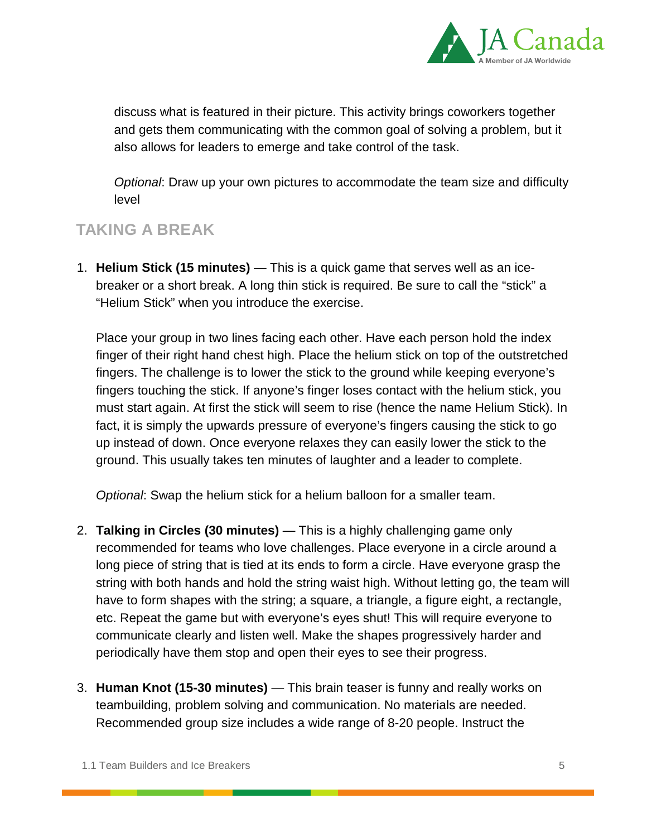

discuss what is featured in their picture. This activity brings coworkers together and gets them communicating with the common goal of solving a problem, but it also allows for leaders to emerge and take control of the task.

*Optional*: Draw up your own pictures to accommodate the team size and difficulty level

### **TAKING A BREAK**

1. **Helium Stick (15 minutes)** — This is a quick game that serves well as an icebreaker or a short break. A long thin stick is required. Be sure to call the "stick" a "Helium Stick" when you introduce the exercise.

Place your group in two lines facing each other. Have each person hold the index finger of their right hand chest high. Place the helium stick on top of the outstretched fingers. The challenge is to lower the stick to the ground while keeping everyone's fingers touching the stick. If anyone's finger loses contact with the helium stick, you must start again. At first the stick will seem to rise (hence the name Helium Stick). In fact, it is simply the upwards pressure of everyone's fingers causing the stick to go up instead of down. Once everyone relaxes they can easily lower the stick to the ground. This usually takes ten minutes of laughter and a leader to complete.

*Optional*: Swap the helium stick for a helium balloon for a smaller team.

- 2. **Talking in Circles (30 minutes)** This is a highly challenging game only recommended for teams who love challenges. Place everyone in a circle around a long piece of string that is tied at its ends to form a circle. Have everyone grasp the string with both hands and hold the string waist high. Without letting go, the team will have to form shapes with the string; a square, a triangle, a figure eight, a rectangle, etc. Repeat the game but with everyone's eyes shut! This will require everyone to communicate clearly and listen well. Make the shapes progressively harder and periodically have them stop and open their eyes to see their progress.
- 3. **Human Knot (15-30 minutes)** This brain teaser is funny and really works on teambuilding, problem solving and communication. No materials are needed. Recommended group size includes a wide range of 8-20 people. Instruct the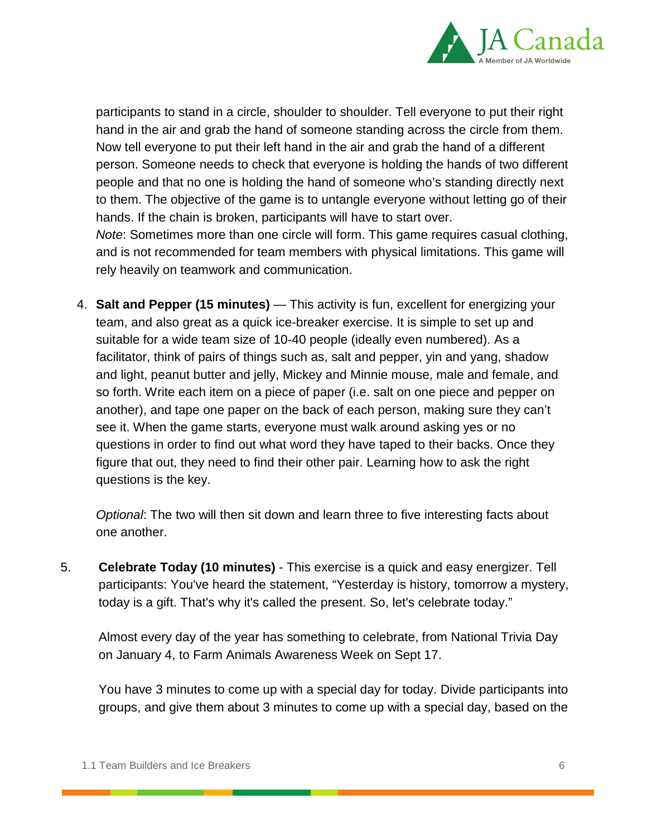

participants to stand in a circle, shoulder to shoulder. Tell everyone to put their right hand in the air and grab the hand of someone standing across the circle from them. Now tell everyone to put their left hand in the air and grab the hand of a different person. Someone needs to check that everyone is holding the hands of two different people and that no one is holding the hand of someone who's standing directly next to them. The objective of the game is to untangle everyone without letting go of their hands. If the chain is broken, participants will have to start over. *Note*: Sometimes more than one circle will form. This game requires casual clothing,

and is not recommended for team members with physical limitations. This game will rely heavily on teamwork and communication.

4. **Salt and Pepper (15 minutes)** — This activity is fun, excellent for energizing your team, and also great as a quick ice-breaker exercise. It is simple to set up and suitable for a wide team size of 10-40 people (ideally even numbered). As a facilitator, think of pairs of things such as, salt and pepper, yin and yang, shadow and light, peanut butter and jelly, Mickey and Minnie mouse, male and female, and so forth. Write each item on a piece of paper (i.e. salt on one piece and pepper on another), and tape one paper on the back of each person, making sure they can't see it. When the game starts, everyone must walk around asking yes or no questions in order to find out what word they have taped to their backs. Once they figure that out, they need to find their other pair. Learning how to ask the right questions is the key.

*Optional*: The two will then sit down and learn three to five interesting facts about one another.

5. **Celebrate Today (10 minutes)** - This exercise is a quick and easy energizer. Tell participants: You've heard the statement, "Yesterday is history, tomorrow a mystery, today is a gift. That's why it's called the present. So, let's celebrate today."

Almost every day of the year has something to celebrate, from National Trivia Day on January 4, to Farm Animals Awareness Week on Sept 17.

You have 3 minutes to come up with a special day for today. Divide participants into groups, and give them about 3 minutes to come up with a special day, based on the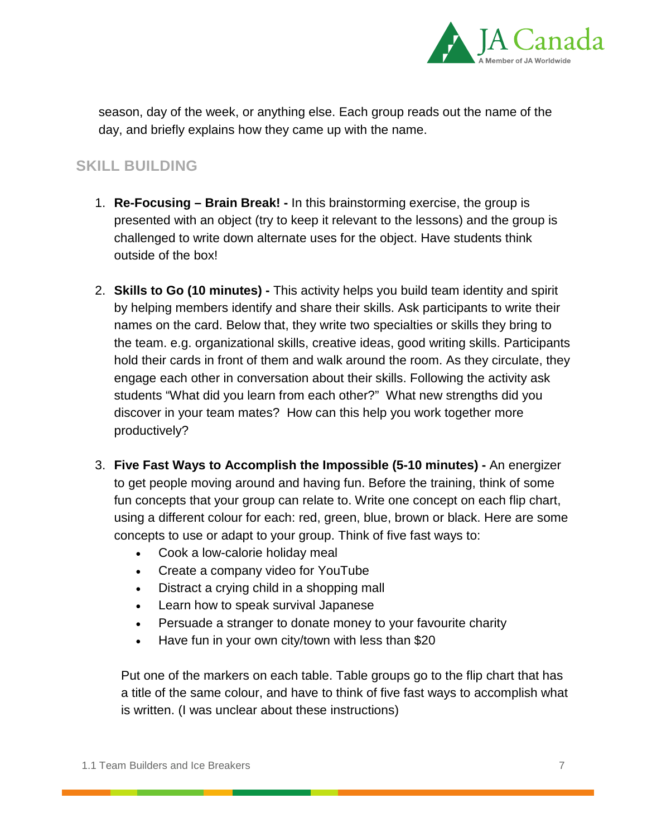

season, day of the week, or anything else. Each group reads out the name of the day, and briefly explains how they came up with the name.

#### **SKILL BUILDING**

- 1. **Re-Focusing – Brain Break! -** In this brainstorming exercise, the group is presented with an object (try to keep it relevant to the lessons) and the group is challenged to write down alternate uses for the object. Have students think outside of the box!
- 2. **Skills to Go (10 minutes) -** This activity helps you build team identity and spirit by helping members identify and share their skills. Ask participants to write their names on the card. Below that, they write two specialties or skills they bring to the team. e.g. organizational skills, creative ideas, good writing skills. Participants hold their cards in front of them and walk around the room. As they circulate, they engage each other in conversation about their skills. Following the activity ask students "What did you learn from each other?" What new strengths did you discover in your team mates? How can this help you work together more productively?
- 3. **Five Fast Ways to Accomplish the Impossible (5-10 minutes) -** An energizer to get people moving around and having fun. Before the training, think of some fun concepts that your group can relate to. Write one concept on each flip chart, using a different colour for each: red, green, blue, brown or black. Here are some concepts to use or adapt to your group. Think of five fast ways to:
	- Cook a low-calorie holiday meal
	- Create a company video for YouTube
	- Distract a crying child in a shopping mall
	- Learn how to speak survival Japanese
	- Persuade a stranger to donate money to your favourite charity
	- Have fun in your own city/town with less than \$20

Put one of the markers on each table. Table groups go to the flip chart that has a title of the same colour, and have to think of five fast ways to accomplish what is written. (I was unclear about these instructions)